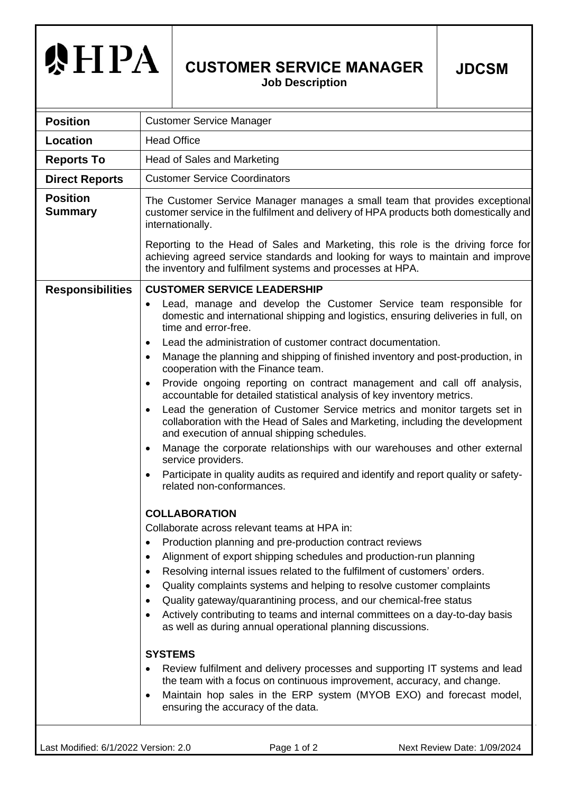## **泰HPA**

## **CUSTOMER SERVICE MANAGER**

**Job Description**

| <b>Position</b>                   | <b>Customer Service Manager</b>                                                                                                                                                                                                                                                                                                                                                                                                                                                                                                                                                                                                                                                                                                                                                                                                                                                                                                                         |
|-----------------------------------|---------------------------------------------------------------------------------------------------------------------------------------------------------------------------------------------------------------------------------------------------------------------------------------------------------------------------------------------------------------------------------------------------------------------------------------------------------------------------------------------------------------------------------------------------------------------------------------------------------------------------------------------------------------------------------------------------------------------------------------------------------------------------------------------------------------------------------------------------------------------------------------------------------------------------------------------------------|
| Location                          | <b>Head Office</b>                                                                                                                                                                                                                                                                                                                                                                                                                                                                                                                                                                                                                                                                                                                                                                                                                                                                                                                                      |
| <b>Reports To</b>                 | Head of Sales and Marketing                                                                                                                                                                                                                                                                                                                                                                                                                                                                                                                                                                                                                                                                                                                                                                                                                                                                                                                             |
| <b>Direct Reports</b>             | <b>Customer Service Coordinators</b>                                                                                                                                                                                                                                                                                                                                                                                                                                                                                                                                                                                                                                                                                                                                                                                                                                                                                                                    |
| <b>Position</b><br><b>Summary</b> | The Customer Service Manager manages a small team that provides exceptional<br>customer service in the fulfilment and delivery of HPA products both domestically and<br>internationally.                                                                                                                                                                                                                                                                                                                                                                                                                                                                                                                                                                                                                                                                                                                                                                |
|                                   | Reporting to the Head of Sales and Marketing, this role is the driving force for<br>achieving agreed service standards and looking for ways to maintain and improve<br>the inventory and fulfilment systems and processes at HPA.                                                                                                                                                                                                                                                                                                                                                                                                                                                                                                                                                                                                                                                                                                                       |
| <b>Responsibilities</b>           | <b>CUSTOMER SERVICE LEADERSHIP</b>                                                                                                                                                                                                                                                                                                                                                                                                                                                                                                                                                                                                                                                                                                                                                                                                                                                                                                                      |
|                                   | Lead, manage and develop the Customer Service team responsible for<br>٠<br>domestic and international shipping and logistics, ensuring deliveries in full, on<br>time and error-free.<br>Lead the administration of customer contract documentation.                                                                                                                                                                                                                                                                                                                                                                                                                                                                                                                                                                                                                                                                                                    |
|                                   | $\bullet$<br>Manage the planning and shipping of finished inventory and post-production, in<br>cooperation with the Finance team.                                                                                                                                                                                                                                                                                                                                                                                                                                                                                                                                                                                                                                                                                                                                                                                                                       |
|                                   | Provide ongoing reporting on contract management and call off analysis,<br>$\bullet$<br>accountable for detailed statistical analysis of key inventory metrics.<br>Lead the generation of Customer Service metrics and monitor targets set in<br>$\bullet$<br>collaboration with the Head of Sales and Marketing, including the development<br>and execution of annual shipping schedules.<br>Manage the corporate relationships with our warehouses and other external<br>$\bullet$<br>service providers.<br>Participate in quality audits as required and identify and report quality or safety-<br>$\bullet$<br>related non-conformances.                                                                                                                                                                                                                                                                                                            |
|                                   | <b>COLLABORATION</b><br>Collaborate across relevant teams at HPA in:<br>Production planning and pre-production contract reviews<br>$\bullet$<br>Alignment of export shipping schedules and production-run planning<br>$\bullet$<br>Resolving internal issues related to the fulfilment of customers' orders.<br>٠<br>Quality complaints systems and helping to resolve customer complaints<br>٠<br>Quality gateway/quarantining process, and our chemical-free status<br>$\bullet$<br>Actively contributing to teams and internal committees on a day-to-day basis<br>$\bullet$<br>as well as during annual operational planning discussions.<br><b>SYSTEMS</b><br>Review fulfilment and delivery processes and supporting IT systems and lead<br>$\bullet$<br>the team with a focus on continuous improvement, accuracy, and change.<br>Maintain hop sales in the ERP system (MYOB EXO) and forecast model,<br>٠<br>ensuring the accuracy of the data. |